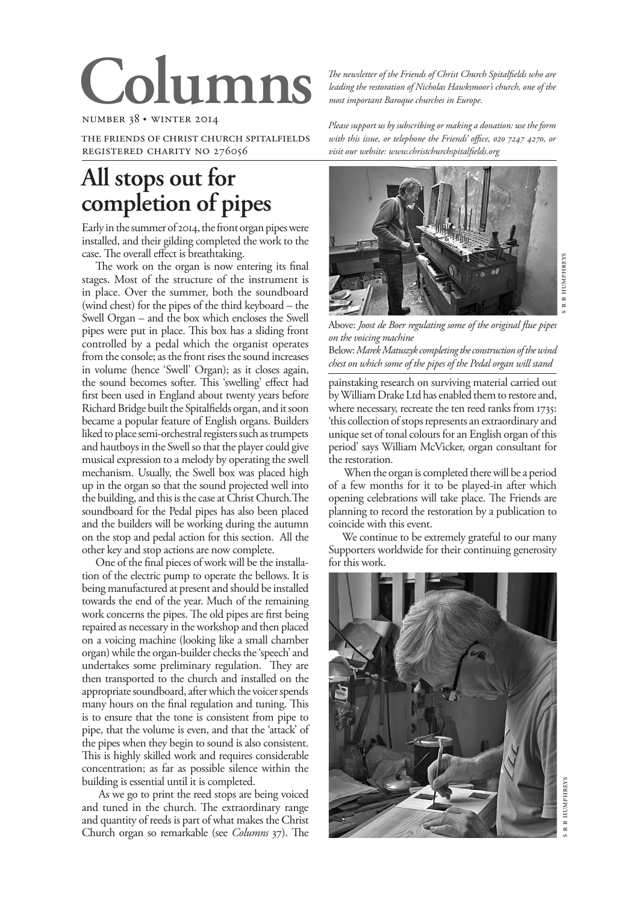# Colu

number 38 • winter 2014

the friends of christ church spitalfields registered charity no 276056

## **All stops out for completion of pipes**

Early in the summer of 2014, the front organ pipes were installed, and their gilding completed the work to the case. The overall effect is breathtaking.

The work on the organ is now entering its final stages. Most of the structure of the instrument is in place. Over the summer, both the soundboard (wind chest) for the pipes of the third keyboard – the Swell Organ – and the box which encloses the Swell pipes were put in place. This box has a sliding front controlled by a pedal which the organist operates from the console; as the front rises the sound increases in volume (hence 'Swell' Organ); as it closes again, the sound becomes softer. This 'swelling' effect had first been used in England about twenty years before Richard Bridge built the Spitalfields organ, and it soon became a popular feature of English organs. Builders liked to place semi-orchestral registers such as trumpets and hautboys in the Swell so that the player could give musical expression to a melody by operating the swell mechanism. Usually, the Swell box was placed high up in the organ so that the sound projected well into the building, and this is the case at Christ Church.The soundboard for the Pedal pipes has also been placed and the builders will be working during the autumn on the stop and pedal action for this section. All the other key and stop actions are now complete.

One of the final pieces of work will be the installation of the electric pump to operate the bellows. It is being manufactured at present and should be installed towards the end of the year. Much of the remaining work concerns the pipes. The old pipes are first being repaired as necessary in the workshop and then placed on a voicing machine (looking like a small chamber organ) while the organ-builder checks the 'speech' and undertakes some preliminary regulation. They are then transported to the church and installed on the appropriate soundboard, after which the voicer spends many hours on the final regulation and tuning. This is to ensure that the tone is consistent from pipe to pipe, that the volume is even, and that the 'attack' of the pipes when they begin to sound is also consistent. This is highly skilled work and requires considerable concentration; as far as possible silence within the building is essential until it is completed.

As we go to print the reed stops are being voiced and tuned in the church. The extraordinary range and quantity of reeds is part of what makes the Christ Church organ so remarkable (see *Columns* 37). The

*The newsletter of the Friends of Christ Church Spitalfields who are leading the restoration of Nicholas Hawksmoor's church, one of the most important Baroque churches in Europe.*

*Please support us by subscribing or making a donation: use the form*  with this issue, or telephone the Friends' office, 020 7247 4270, or *visit our website: www.christchurchspitalfields.org*



Above: *Joost de Boer regulating some of the original flue pipes on the voicing machine*

Below: *Marek Matuszyk completing the construction of the wind chest on which some of the pipes of the Pedal organ will stand*

painstaking research on surviving material carried out by William Drake Ltd has enabled them to restore and, where necessary, recreate the ten reed ranks from 1735: 'this collection of stops represents an extraordinary and unique set of tonal colours for an English organ of this period' says William McVicker, organ consultant for the restoration.

When the organ is completed there will be a period of a few months for it to be played-in after which opening celebrations will take place. The Friends are planning to record the restoration by a publication to coincide with this event.

We continue to be extremely grateful to our many Supporters worldwide for their continuing generosity for this work.

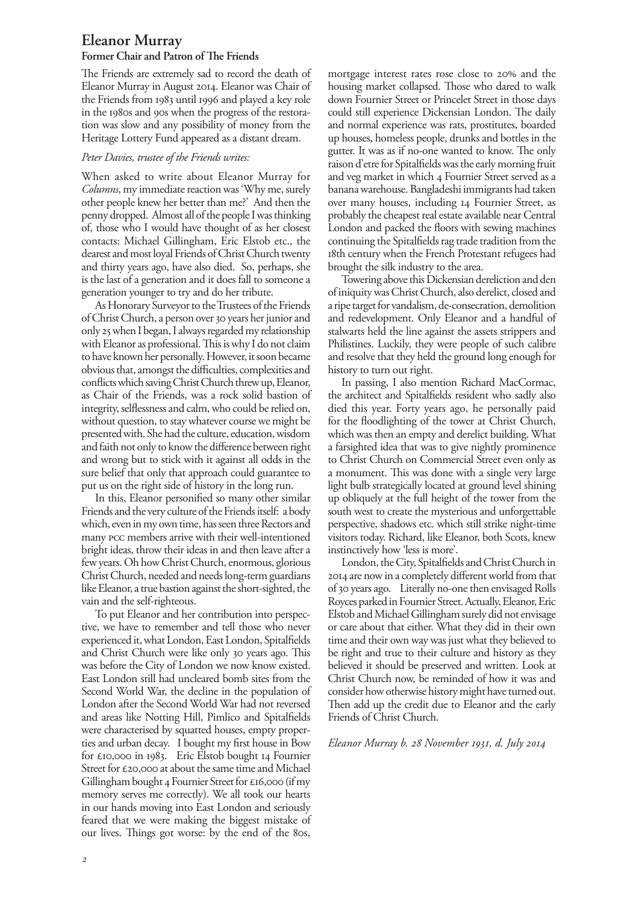### **Eleanor Murray**

#### **Former Chair and Patron of The Friends**

The Friends are extremely sad to record the death of Eleanor Murray in August 2014. Eleanor was Chair of the Friends from 1983 until 1996 and played a key role in the 1980s and 90s when the progress of the restoration was slow and any possibility of money from the Heritage Lottery Fund appeared as a distant dream.

#### *Peter Davies, trustee of the Friends writes:*

When asked to write about Eleanor Murray for *Columns*, my immediate reaction was 'Why me, surely other people knew her better than me?' And then the penny dropped. Almost all of the people I was thinking of, those who I would have thought of as her closest contacts: Michael Gillingham, Eric Elstob etc., the dearest and most loyal Friends of Christ Church twenty and thirty years ago, have also died. So, perhaps, she is the last of a generation and it does fall to someone a generation younger to try and do her tribute.

As Honorary Surveyor to the Trustees of the Friends of Christ Church, a person over 30 years her junior and only 25 when I began, I always regarded my relationship with Eleanor as professional. This is why I do not claim to have known her personally. However, it soon became obvious that, amongst the difficulties, complexities and conflicts which saving Christ Church threw up, Eleanor, as Chair of the Friends, was a rock solid bastion of integrity, selflessness and calm, who could be relied on, without question, to stay whatever course we might be presented with. She had the culture, education, wisdom and faith not only to know the difference between right and wrong but to stick with it against all odds in the sure belief that only that approach could guarantee to put us on the right side of history in the long run.

In this, Eleanor personified so many other similar Friends and the very culture of the Friends itself: a body which, even in my own time, has seen three Rectors and many pcc members arrive with their well-intentioned bright ideas, throw their ideas in and then leave after a few years. Oh how Christ Church, enormous, glorious Christ Church, needed and needs long-term guardians like Eleanor, a true bastion against the short-sighted, the vain and the self-righteous.

To put Eleanor and her contribution into perspective, we have to remember and tell those who never experienced it, what London, East London, Spitalfields and Christ Church were like only 30 years ago. This was before the City of London we now know existed. East London still had uncleared bomb sites from the Second World War, the decline in the population of London after the Second World War had not reversed and areas like Notting Hill, Pimlico and Spitalfields were characterised by squatted houses, empty properties and urban decay. I bought my first house in Bow for £10,000 in 1983. Eric Elstob bought 14 Fournier Street for £20,000 at about the same time and Michael Gillingham bought 4 Fournier Street for £16,000 (if my memory serves me correctly). We all took our hearts in our hands moving into East London and seriously feared that we were making the biggest mistake of our lives. Things got worse: by the end of the 80s,

mortgage interest rates rose close to 20% and the housing market collapsed. Those who dared to walk down Fournier Street or Princelet Street in those days could still experience Dickensian London. The daily and normal experience was rats, prostitutes, boarded up houses, homeless people, drunks and bottles in the gutter. It was as if no-one wanted to know. The only raison d'etre for Spitalfields was the early morning fruit and veg market in which 4 Fournier Street served as a banana warehouse. Bangladeshi immigrants had taken over many houses, including 14 Fournier Street, as probably the cheapest real estate available near Central London and packed the floors with sewing machines continuing the Spitalfields rag trade tradition from the 18th century when the French Protestant refugees had brought the silk industry to the area.

Towering above this Dickensian dereliction and den of iniquity was Christ Church, also derelict, closed and a ripe target for vandalism, de-consecration, demolition and redevelopment. Only Eleanor and a handful of stalwarts held the line against the assets strippers and Philistines. Luckily, they were people of such calibre and resolve that they held the ground long enough for history to turn out right.

In passing, I also mention Richard MacCormac, the architect and Spitalfields resident who sadly also died this year. Forty years ago, he personally paid for the floodlighting of the tower at Christ Church, which was then an empty and derelict building. What a farsighted idea that was to give nightly prominence to Christ Church on Commercial Street even only as a monument. This was done with a single very large light bulb strategically located at ground level shining up obliquely at the full height of the tower from the south west to create the mysterious and unforgettable perspective, shadows etc. which still strike night-time visitors today. Richard, like Eleanor, both Scots, knew instinctively how 'less is more'.

London, the City, Spitalfields and Christ Church in 2014 are now in a completely different world from that of 30 years ago. Literally no-one then envisaged Rolls Royces parked in Fournier Street. Actually, Eleanor, Eric Elstob and Michael Gillingham surely did not envisage or care about that either. What they did in their own time and their own way was just what they believed to be right and true to their culture and history as they believed it should be preserved and written. Look at Christ Church now, be reminded of how it was and consider how otherwise history might have turned out. Then add up the credit due to Eleanor and the early Friends of Christ Church.

#### *Eleanor Murray b. 28 November 1931, d. July 2014*